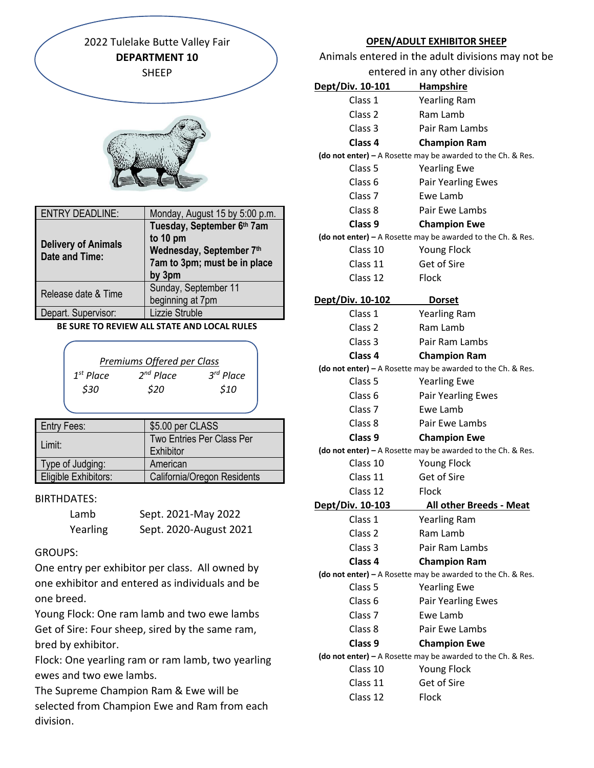2022 Tulelake Butte Valley Fair **DEPARTMENT 10** SHEEP



| <b>ENTRY DEADLINE:</b>                              | Monday, August 15 by 5:00 p.m.                                                                               |
|-----------------------------------------------------|--------------------------------------------------------------------------------------------------------------|
| <b>Delivery of Animals</b><br><b>Date and Time:</b> | Tuesday, September 6th 7am<br>to 10 pm<br>Wednesday, September 7th<br>7am to 3pm; must be in place<br>by 3pm |
| Release date & Time                                 | Sunday, September 11<br>beginning at 7pm                                                                     |
| Depart. Supervisor:                                 | Lizzie Struble                                                                                               |

#### **BE SURE TO REVIEW ALL STATE AND LOCAL RULES**

| Premiums Offered per Class |                |             |  |
|----------------------------|----------------|-------------|--|
| $1^{st}$ Place             | $2^{nd}$ Place | $3rd$ Place |  |
| \$30                       | \$20           | \$10        |  |
|                            |                |             |  |

| <b>Entry Fees:</b>          | \$5.00 per CLASS            |
|-----------------------------|-----------------------------|
| Limit:                      | Two Entries Per Class Per   |
|                             | Exhibitor                   |
| Type of Judging:            | American                    |
| <b>Eligible Exhibitors:</b> | California/Oregon Residents |

## BIRTHDATES:

| Lamb     | Sept. 2021-May 2022    |
|----------|------------------------|
| Yearling | Sept. 2020-August 2021 |

## GROUPS:

One entry per exhibitor per class. All owned by one exhibitor and entered as individuals and be one breed.

Young Flock: One ram lamb and two ewe lambs Get of Sire: Four sheep, sired by the same ram, bred by exhibitor.

Flock: One yearling ram or ram lamb, two yearling ewes and two ewe lambs.

The Supreme Champion Ram & Ewe will be selected from Champion Ewe and Ram from each division.

## **OPEN/ADULT EXHIBITOR SHEEP**

Animals entered in the adult divisions may not be

| entered in any other division |                                                               |  |
|-------------------------------|---------------------------------------------------------------|--|
| <u>Dept/Div. 10-101</u>       | <b>Hampshire</b>                                              |  |
| Class 1                       | <b>Yearling Ram</b>                                           |  |
| Class <sub>2</sub>            | Ram Lamb                                                      |  |
| Class 3                       | Pair Ram Lambs                                                |  |
| Class 4                       | <b>Champion Ram</b>                                           |  |
|                               | (do not enter) - A Rosette may be awarded to the Ch. & Res.   |  |
| Class 5                       | <b>Yearling Ewe</b>                                           |  |
| Class <sub>6</sub>            | <b>Pair Yearling Ewes</b>                                     |  |
| Class <sub>7</sub>            | Ewe Lamb                                                      |  |
| Class 8                       | Pair Ewe Lambs                                                |  |
| Class 9                       | <b>Champion Ewe</b>                                           |  |
|                               | (do not enter) $-$ A Rosette may be awarded to the Ch. & Res. |  |
| Class 10                      | <b>Young Flock</b>                                            |  |
| Class 11                      | Get of Sire                                                   |  |
| Class 12                      | Flock                                                         |  |
| Dept/Div. 10-102              | <b>Dorset</b>                                                 |  |
| Class 1                       | <b>Yearling Ram</b>                                           |  |
| Class <sub>2</sub>            | Ram Lamb                                                      |  |
| Class 3                       | Pair Ram Lambs                                                |  |
| Class 4                       | <b>Champion Ram</b>                                           |  |
|                               | (do not enter) - A Rosette may be awarded to the Ch. & Res.   |  |
| Class 5                       | <b>Yearling Ewe</b>                                           |  |
| Class <sub>6</sub>            | <b>Pair Yearling Ewes</b>                                     |  |
| Class <sub>7</sub>            | Ewe Lamb                                                      |  |
| Class 8                       | Pair Ewe Lambs                                                |  |
| Class 9                       | <b>Champion Ewe</b>                                           |  |
|                               | (do not enter) - A Rosette may be awarded to the Ch. & Res.   |  |
| Class 10                      | <b>Young Flock</b>                                            |  |
| Class 11                      | <b>Get of Sire</b>                                            |  |
| Class 12                      | Flock                                                         |  |
| <u>Dept/Div. 10-103</u>       | <u> All other Breeds - Meat</u>                               |  |
| Class 1                       | <b>Yearling Ram</b>                                           |  |
| Class <sub>2</sub>            | Ram Lamb                                                      |  |
| Class 3                       | Pair Ram Lambs                                                |  |
| Class 4                       | <b>Champion Ram</b>                                           |  |
|                               | (do not enter) - A Rosette may be awarded to the Ch. & Res.   |  |
| Class 5                       | <b>Yearling Ewe</b>                                           |  |
| Class 6                       | <b>Pair Yearling Ewes</b>                                     |  |
| Class <sub>7</sub>            | Ewe Lamb                                                      |  |
| Class 8                       | Pair Ewe Lambs                                                |  |
| Class 9                       | <b>Champion Ewe</b>                                           |  |
|                               | (do not enter) - A Rosette may be awarded to the Ch. & Res.   |  |
| Class 10                      | <b>Young Flock</b>                                            |  |
| Class 11                      | Get of Sire                                                   |  |
| Class 12                      | Flock                                                         |  |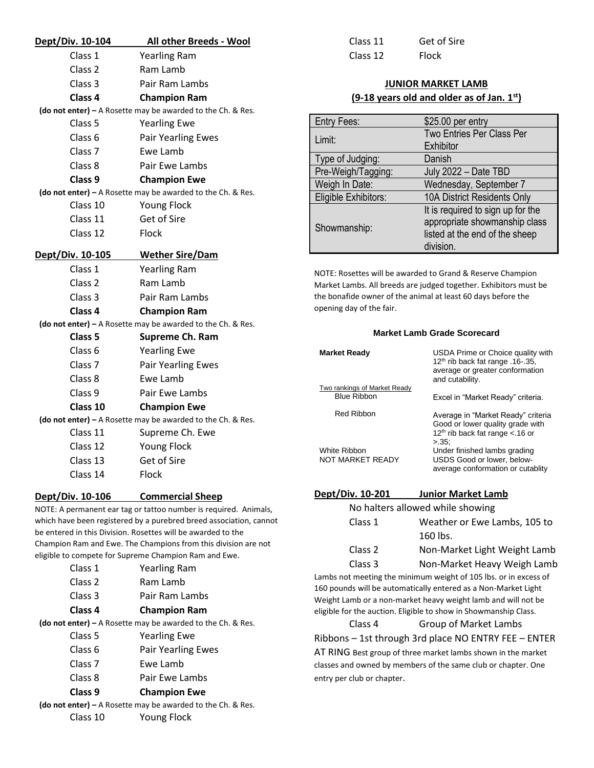| Dept/Div. 10-104   | All other Breeds - Wool                                     |  |
|--------------------|-------------------------------------------------------------|--|
| Class 1            | <b>Yearling Ram</b>                                         |  |
| Class <sub>2</sub> | Ram Lamb                                                    |  |
| Class <sub>3</sub> | Pair Ram Lambs                                              |  |
| Class 4            | <b>Champion Ram</b>                                         |  |
|                    | (do not enter) - A Rosette may be awarded to the Ch. & Res. |  |
| Class <sub>5</sub> | <b>Yearling Ewe</b>                                         |  |
| Class 6            | <b>Pair Yearling Ewes</b>                                   |  |
| Class <sub>7</sub> | Ewe Lamb                                                    |  |
| Class 8            | Pair Ewe Lambs                                              |  |
| Class 9            | <b>Champion Ewe</b>                                         |  |
|                    | (do not enter) - A Rosette may be awarded to the Ch. & Res. |  |
| Class 10           | <b>Young Flock</b>                                          |  |
| Class 11           | Get of Sire                                                 |  |
| Class 12           | Flock                                                       |  |
| Dept/Div. 10-105   | <b>Wether Sire/Dam</b>                                      |  |
| Class 1            | <b>Yearling Ram</b>                                         |  |
| Class <sub>2</sub> | Ram Lamb                                                    |  |
| Class <sub>3</sub> | Pair Ram Lambs                                              |  |
| Class 4            | <b>Champion Ram</b>                                         |  |
|                    | (do not enter) - A Rosette may be awarded to the Ch. & Res. |  |
| Class 5            | <b>Supreme Ch. Ram</b>                                      |  |
| Class 6            | <b>Yearling Ewe</b>                                         |  |
| Class <sub>7</sub> | <b>Pair Yearling Ewes</b>                                   |  |
| Class 8            | Ewe Lamb                                                    |  |
| Class 9            | Pair Ewe Lambs                                              |  |
| Class 10           | <b>Champion Ewe</b>                                         |  |
|                    | (do not enter) - A Rosette may be awarded to the Ch. & Res. |  |
| Class 11           | Supreme Ch. Ewe                                             |  |
| Class 12           | <b>Young Flock</b>                                          |  |
| Class 13           | Get of Sire                                                 |  |
| Class 14           | Flock                                                       |  |
| Dept/Div. 10-106   | <b>Commercial Sheep</b>                                     |  |

NOTE: A permanent ear tag or tattoo number is required. Animals, which have been registered by a purebred breed association, cannot be entered in this Division. Rosettes will be awarded to the Champion Ram and Ewe. The Champions from this division are not

| eligible to compete for Supreme Champion Ram and Ewe. |                                                             |  |
|-------------------------------------------------------|-------------------------------------------------------------|--|
| Class 1                                               | <b>Yearling Ram</b>                                         |  |
| Class 2                                               | Ram Lamb                                                    |  |
| Class 3                                               | Pair Ram Lambs                                              |  |
| Class 4                                               | <b>Champion Ram</b>                                         |  |
|                                                       | (do not enter) – A Rosette may be awarded to the Ch. & Res. |  |
| Class 5                                               | <b>Yearling Ewe</b>                                         |  |
| Class 6                                               | <b>Pair Yearling Ewes</b>                                   |  |
| Class <sub>7</sub>                                    | Ewe Lamb                                                    |  |
| Class 8                                               | Pair Ewe Lambs                                              |  |
| — —                                                   | - -                                                         |  |

**Class 9 Champion Ewe**

Class 10 Young Flock

**(do not enter) –** A Rosette may be awarded to the Ch. & Res.

Class 11 Get of Sire Class 12 Flock

#### **JUNIOR MARKET LAMB (9-18 years old and older as of Jan. 1st)**

| Entry Fees:          | \$25.00 per entry                 |
|----------------------|-----------------------------------|
| Limit:               | Two Entries Per Class Per         |
|                      | Exhibitor                         |
| Type of Judging:     | Danish                            |
| Pre-Weigh/Tagging:   | July 2022 - Date TBD              |
| Weigh In Date:       | Wednesday, September 7            |
| Eligible Exhibitors: | 10A District Residents Only       |
|                      | It is required to sign up for the |
| Showmanship:         | appropriate showmanship class     |
|                      | listed at the end of the sheep    |
|                      | division.                         |

NOTE: Rosettes will be awarded to Grand & Reserve Champion Market Lambs. All breeds are judged together. Exhibitors must be the bonafide owner of the animal at least 60 days before the opening day of the fair.

#### **Market Lamb Grade Scorecard**

| <b>Market Ready</b>                     | USDA Prime or Choice quality with<br>12th rib back fat range .16-.35,<br>average or greater conformation<br>and cutability. |
|-----------------------------------------|-----------------------------------------------------------------------------------------------------------------------------|
| Two rankings of Market Ready            |                                                                                                                             |
| <b>Blue Ribbon</b>                      | Excel in "Market Ready" criteria.                                                                                           |
| <b>Red Ribbon</b>                       | Average in "Market Ready" criteria<br>Good or lower quality grade with<br>$12th$ rib back fat range < 16 or<br>$>35$ :      |
| White Ribbon<br><b>NOT MARKET READY</b> | Under finished lambs grading<br>USDS Good or lower, below-<br>average conformation or cutablity                             |
|                                         |                                                                                                                             |

#### **Dept/Div. 10-201 Junior Market Lamb**

| No halters allowed while showing |                              |
|----------------------------------|------------------------------|
| Class 1                          | Weather or Ewe Lambs, 105 to |
|                                  | 160 lbs.                     |
| Class 2                          | Non-Market Light Weight Lamb |
| Class 3                          | Non-Market Heavy Weigh Lamb  |

Lambs not meeting the minimum weight of 105 lbs. or in excess of 160 pounds will be automatically entered as a Non-Market Light Weight Lamb or a non-market heavy weight lamb and will not be eligible for the auction. Eligible to show in Showmanship Class.

## Class 4 Group of Market Lambs Ribbons – 1st through 3rd place NO ENTRY FEE – ENTER

AT RING Best group of three market lambs shown in the market classes and owned by members of the same club or chapter. One entry per club or chapter.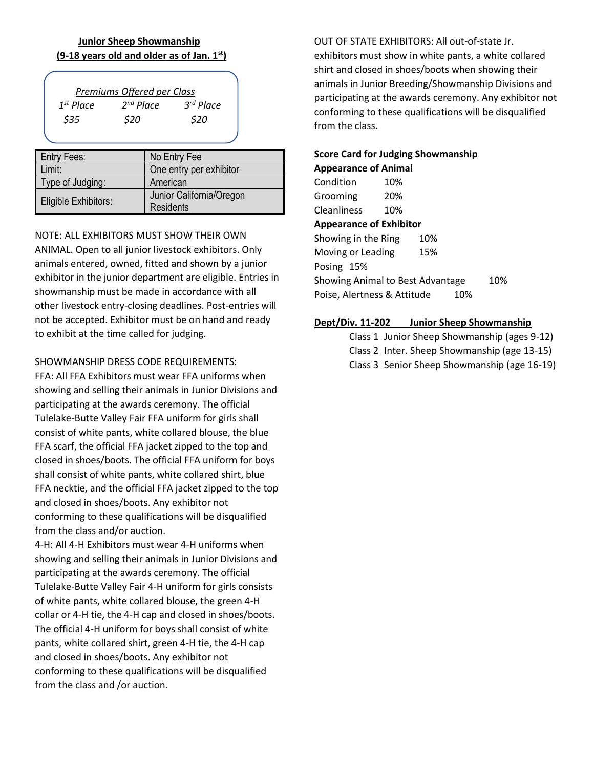## **Junior Sheep Showmanship (9-18 years old and older as of Jan. 1st)**

| Premiums Offered per Class |             |                    |                |
|----------------------------|-------------|--------------------|----------------|
|                            | $1st$ Place | $2^{nd}$ Place     | $3^{rd}$ Place |
|                            | \$35        | <i><b>\$20</b></i> | S20            |

| <b>Entry Fees:</b>   | No Entry Fee             |
|----------------------|--------------------------|
| Limit:               | One entry per exhibitor  |
| Type of Judging:     | American                 |
| Eligible Exhibitors: | Junior California/Oregon |
|                      | <b>Residents</b>         |

NOTE: ALL EXHIBITORS MUST SHOW THEIR OWN ANIMAL. Open to all junior livestock exhibitors. Only animals entered, owned, fitted and shown by a junior exhibitor in the junior department are eligible. Entries in showmanship must be made in accordance with all other livestock entry-closing deadlines. Post-entries will not be accepted. Exhibitor must be on hand and ready to exhibit at the time called for judging.

### SHOWMANSHIP DRESS CODE REQUIREMENTS:

FFA: All FFA Exhibitors must wear FFA uniforms when showing and selling their animals in Junior Divisions and participating at the awards ceremony. The official Tulelake-Butte Valley Fair FFA uniform for girls shall consist of white pants, white collared blouse, the blue FFA scarf, the official FFA jacket zipped to the top and closed in shoes/boots. The official FFA uniform for boys shall consist of white pants, white collared shirt, blue FFA necktie, and the official FFA jacket zipped to the top and closed in shoes/boots. Any exhibitor not conforming to these qualifications will be disqualified from the class and/or auction.

4-H: All 4-H Exhibitors must wear 4-H uniforms when showing and selling their animals in Junior Divisions and participating at the awards ceremony. The official Tulelake-Butte Valley Fair 4-H uniform for girls consists of white pants, white collared blouse, the green 4-H collar or 4-H tie, the 4-H cap and closed in shoes/boots. The official 4-H uniform for boys shall consist of white pants, white collared shirt, green 4-H tie, the 4-H cap and closed in shoes/boots. Any exhibitor not conforming to these qualifications will be disqualified from the class and /or auction.

OUT OF STATE EXHIBITORS: All out-of-state Jr. exhibitors must show in white pants, a white collared shirt and closed in shoes/boots when showing their animals in Junior Breeding/Showmanship Divisions and participating at the awards ceremony. Any exhibitor not conforming to these qualifications will be disqualified from the class.

# **Score Card for Judging Showmanship**

**Appearance of Animal** Condition 10% Grooming 20% Cleanliness 10% **Appearance of Exhibitor** Showing in the Ring 10% Moving or Leading 15% Posing 15% Showing Animal to Best Advantage 10% Poise, Alertness & Attitude 10%

## **Dept/Div. 11-202 Junior Sheep Showmanship**

Class 1 Junior Sheep Showmanship (ages 9-12) Class 2 Inter. Sheep Showmanship (age 13-15) Class 3 Senior Sheep Showmanship (age 16-19)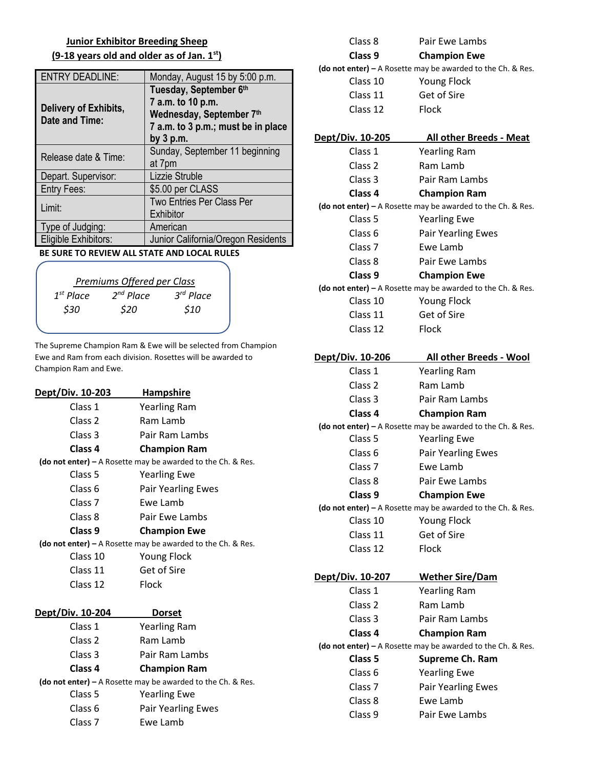## **Junior Exhibitor Breeding Sheep (9-18 years old and older as of Jan. 1st)**

| <b>ENTRY DEADLINE:</b>                  | Monday, August 15 by 5:00 p.m.                                                                                               |
|-----------------------------------------|------------------------------------------------------------------------------------------------------------------------------|
| Delivery of Exhibits,<br>Date and Time: | Tuesday, September 6th<br>7 a.m. to 10 p.m.<br>Wednesday, September 7th<br>7 a.m. to 3 p.m.; must be in place<br>by $3$ p.m. |
| Release date & Time:                    | Sunday, September 11 beginning<br>at 7pm                                                                                     |
| Depart. Supervisor:                     | Lizzie Struble                                                                                                               |
| <b>Entry Fees:</b>                      | \$5.00 per CLASS                                                                                                             |
| Limit:                                  | <b>Two Entries Per Class Per</b><br>Exhibitor                                                                                |
| Type of Judging:                        | American                                                                                                                     |
| Eligible Exhibitors:                    | Junior California/Oregon Residents                                                                                           |

 **BE SURE TO REVIEW ALL STATE AND LOCAL RULES**

| Premiums Offered per Class |                     |                        |                     |
|----------------------------|---------------------|------------------------|---------------------|
|                            | $1st$ Place<br>\$30 | $2^{nd}$ Place<br>\$20 | $3rd$ Place<br>\$10 |
|                            |                     |                        |                     |

The Supreme Champion Ram & Ewe will be selected from Champion Ewe and Ram from each division. Rosettes will be awarded to Champion Ram and Ewe.

| <b>Dept/Div. 10-203</b>                                       | <b>Hampshire</b>                                              |  |
|---------------------------------------------------------------|---------------------------------------------------------------|--|
| Class 1                                                       | <b>Yearling Ram</b>                                           |  |
| Class 2                                                       | Ram Lamb                                                      |  |
| Class <sub>3</sub>                                            | Pair Ram Lambs                                                |  |
| Class <sub>4</sub>                                            | <b>Champion Ram</b>                                           |  |
|                                                               | (do not enter) $-$ A Rosette may be awarded to the Ch. & Res. |  |
| Class 5                                                       | <b>Yearling Ewe</b>                                           |  |
| Class <sub>6</sub>                                            | <b>Pair Yearling Ewes</b>                                     |  |
| Class <sub>7</sub>                                            | Ewe Lamb                                                      |  |
| Class 8                                                       | Pair Ewe Lambs                                                |  |
| Class <sub>9</sub>                                            | <b>Champion Ewe</b>                                           |  |
| (do not enter) $-$ A Rosette may be awarded to the Ch. & Res. |                                                               |  |
| Class 10                                                      | <b>Young Flock</b>                                            |  |
| Class 11                                                      | <b>Get of Sire</b>                                            |  |
| Class 12                                                      | Flock                                                         |  |
|                                                               |                                                               |  |
| Dept/Div. 10-204                                              | <b>Dorset</b>                                                 |  |
| Class 1                                                       | <b>Yearling Ram</b>                                           |  |
| Class <sub>2</sub>                                            | Ram Lamb                                                      |  |
| Class 3                                                       | Pair Ram Lambs                                                |  |
| Class <sub>4</sub>                                            | <b>Champion Ram</b>                                           |  |
| (do not enter) $-$ A Rosette may be awarded to the Ch. & Res. |                                                               |  |
| Class <sub>5</sub>                                            | <b>Yearling Ewe</b>                                           |  |
| Class <sub>6</sub>                                            | <b>Pair Yearling Ewes</b>                                     |  |
| Class <sub>7</sub>                                            | Ewe Lamb                                                      |  |
|                                                               |                                                               |  |

| Class 8                                                       | Pair Ewe Lambs                                              |  |
|---------------------------------------------------------------|-------------------------------------------------------------|--|
| Class <sub>9</sub>                                            | <b>Champion Ewe</b>                                         |  |
| (do not enter) $-$ A Rosette may be awarded to the Ch. & Res. |                                                             |  |
| Class 10                                                      | <b>Young Flock</b>                                          |  |
| Class 11                                                      | Get of Sire                                                 |  |
| Class 12                                                      | <b>Flock</b>                                                |  |
| Dept/Div. 10-205                                              | <b>All other Breeds - Meat</b>                              |  |
| Class 1                                                       | <b>Yearling Ram</b>                                         |  |
| Class <sub>2</sub>                                            | Ram Lamb                                                    |  |
| Class 3                                                       | Pair Ram Lambs                                              |  |
| Class 4                                                       | <b>Champion Ram</b>                                         |  |
|                                                               | (do not enter) - A Rosette may be awarded to the Ch. & Res. |  |
| Class 5                                                       | <b>Yearling Ewe</b>                                         |  |
| Class <sub>6</sub>                                            | <b>Pair Yearling Ewes</b>                                   |  |
| Class <sub>7</sub>                                            | Ewe Lamb                                                    |  |
| Class 8                                                       | Pair Ewe Lambs                                              |  |
| Class 9                                                       | <b>Champion Ewe</b>                                         |  |
|                                                               | (do not enter) - A Rosette may be awarded to the Ch. & Res. |  |
| Class 10                                                      | <b>Young Flock</b>                                          |  |
| Class 11                                                      | Get of Sire                                                 |  |
| Class 12                                                      | Flock                                                       |  |
| <u>Dept/Div. 10-206</u>                                       | All other Breeds - Wool                                     |  |
| Class 1                                                       | <b>Yearling Ram</b>                                         |  |
| Class <sub>2</sub>                                            | Ram Lamb                                                    |  |
| Class 3                                                       | Pair Ram Lambs                                              |  |
| Class 4                                                       | <b>Champion Ram</b>                                         |  |
|                                                               | (do not enter) - A Rosette may be awarded to the Ch. & Res. |  |
| Class 5                                                       | <b>Yearling Ewe</b>                                         |  |
| Class 6                                                       | <b>Pair Yearling Ewes</b>                                   |  |
| Class <sub>7</sub>                                            | Ewe Lamb                                                    |  |
| Class 8                                                       | Pair Ewe Lambs                                              |  |
| Class 9                                                       | <b>Champion Ewe</b>                                         |  |
|                                                               | (do not enter) - A Rosette may be awarded to the Ch. & Res. |  |
| Class 10                                                      | <b>Young Flock</b>                                          |  |
| Class 11                                                      | Get of Sire                                                 |  |
| Class 12                                                      | Flock                                                       |  |
| <u>Dept/Div. 10-207_</u>                                      | <b>Wether Sire/Dam</b>                                      |  |
| Class 1                                                       | <b>Yearling Ram</b>                                         |  |
| Class 2                                                       | Ram Lamb                                                    |  |
| Class 3                                                       | Pair Ram Lambs                                              |  |
| Class 4                                                       | <b>Champion Ram</b>                                         |  |
|                                                               | (do not enter) - A Rosette may be awarded to the Ch. & Res. |  |
| Class 5                                                       | Supreme Ch. Ram                                             |  |
| Class 6                                                       | <b>Yearling Ewe</b>                                         |  |
| Class <sub>7</sub>                                            | <b>Pair Yearling Ewes</b>                                   |  |
| Class 8                                                       |                                                             |  |
| Class 9                                                       | Ewe Lamb                                                    |  |